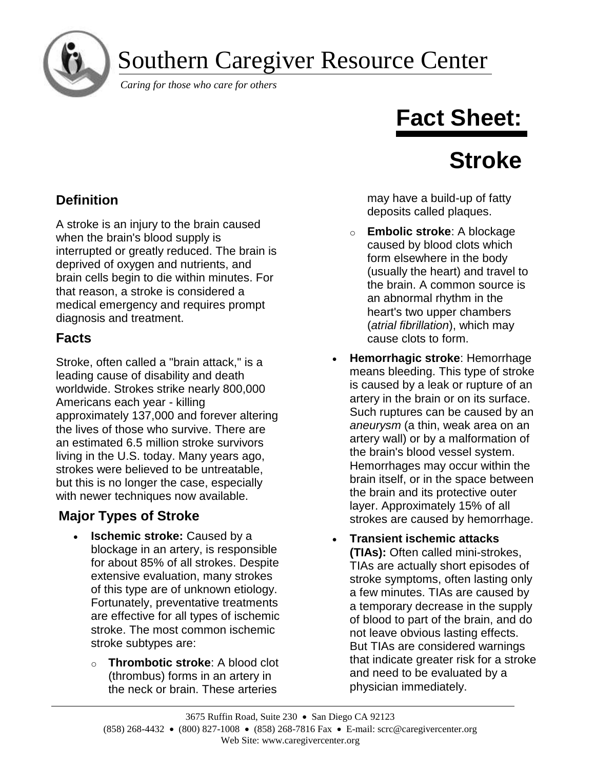Southern Caregiver Resource Center

*Caring for those who care for others*

# **Fact Sheet:**

# **Stroke**

# **Definition**

A stroke is an injury to the brain caused when the brain's blood supply is interrupted or greatly reduced. The brain is deprived of oxygen and nutrients, and brain cells begin to die within minutes. For that reason, a stroke is considered a medical emergency and requires prompt diagnosis and treatment.

## **Facts**

Stroke, often called a "brain attack," is a leading cause of disability and death worldwide. Strokes strike nearly 800,000 Americans each year - killing approximately 137,000 and forever altering the lives of those who survive. There are an estimated 6.5 million stroke survivors living in the U.S. today. Many years ago, strokes were believed to be untreatable, but this is no longer the case, especially with newer techniques now available.

## **Major Types of Stroke**

- **Ischemic stroke:** Caused by a blockage in an artery, is responsible for about 85% of all strokes. Despite extensive evaluation, many strokes of this type are of unknown etiology. Fortunately, preventative treatments are effective for all types of ischemic stroke. The most common ischemic stroke subtypes are:
	- o **Thrombotic stroke**: A blood clot (thrombus) forms in an artery in the neck or brain. These arteries

may have a build-up of fatty deposits called plaques.

- o **Embolic stroke**: A blockage caused by blood clots which form elsewhere in the body (usually the heart) and travel to the brain. A common source is an abnormal rhythm in the heart's two upper chambers (*atrial fibrillation*), which may cause clots to form.
- **Hemorrhagic stroke**: Hemorrhage means bleeding. This type of stroke is caused by a leak or rupture of an artery in the brain or on its surface. Such ruptures can be caused by an *aneurysm* (a thin, weak area on an artery wall) or by a malformation of the brain's blood vessel system. Hemorrhages may occur within the brain itself, or in the space between the brain and its protective outer layer. Approximately 15% of all strokes are caused by hemorrhage.
- **Transient ischemic attacks (TIAs):** Often called mini-strokes, TIAs are actually short episodes of stroke symptoms, often lasting only a few minutes. TIAs are caused by a temporary decrease in the supply of blood to part of the brain, and do not leave obvious lasting effects. But TIAs are considered warnings that indicate greater risk for a stroke and need to be evaluated by a physician immediately.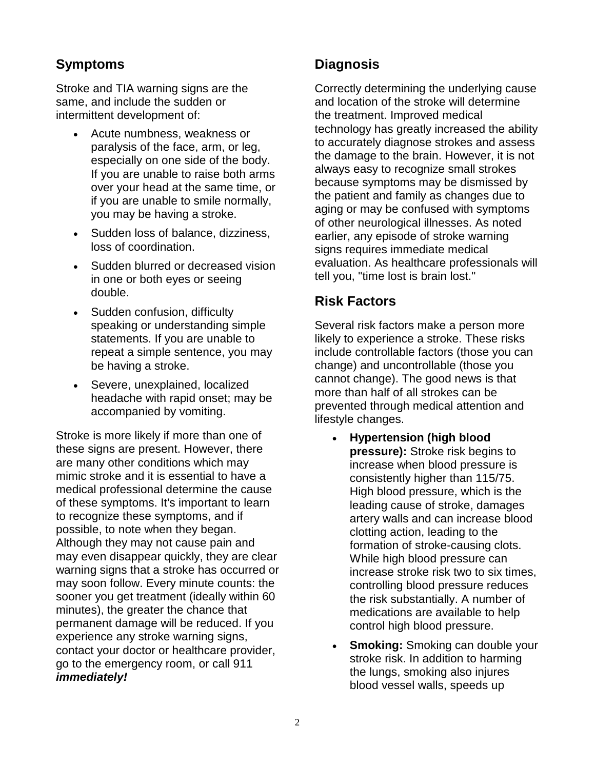## **Symptoms**

Stroke and TIA warning signs are the same, and include the sudden or intermittent development of:

- Acute numbness, weakness or paralysis of the face, arm, or leg, especially on one side of the body. If you are unable to raise both arms over your head at the same time, or if you are unable to smile normally, you may be having a stroke.
- Sudden loss of balance, dizziness, loss of coordination.
- Sudden blurred or decreased vision in one or both eyes or seeing double.
- Sudden confusion, difficulty speaking or understanding simple statements. If you are unable to repeat a simple sentence, you may be having a stroke.
- Severe, unexplained, localized headache with rapid onset; may be accompanied by vomiting.

Stroke is more likely if more than one of these signs are present. However, there are many other conditions which may mimic stroke and it is essential to have a medical professional determine the cause of these symptoms. It's important to learn to recognize these symptoms, and if possible, to note when they began. Although they may not cause pain and may even disappear quickly, they are clear warning signs that a stroke has occurred or may soon follow. Every minute counts: the sooner you get treatment (ideally within 60 minutes), the greater the chance that permanent damage will be reduced. If you experience any stroke warning signs, contact your doctor or healthcare provider, go to the emergency room, or call 911 *immediately!*

## **Diagnosis**

Correctly determining the underlying cause and location of the stroke will determine the treatment. Improved medical technology has greatly increased the ability to accurately diagnose strokes and assess the damage to the brain. However, it is not always easy to recognize small strokes because symptoms may be dismissed by the patient and family as changes due to aging or may be confused with symptoms of other neurological illnesses. As noted earlier, any episode of stroke warning signs requires immediate medical evaluation. As healthcare professionals will tell you, "time lost is brain lost."

## **Risk Factors**

Several risk factors make a person more likely to experience a stroke. These risks include controllable factors (those you can change) and uncontrollable (those you cannot change). The good news is that more than half of all strokes can be prevented through medical attention and lifestyle changes.

- **Hypertension (high blood pressure):** Stroke risk begins to increase when blood pressure is consistently higher than 115/75. High blood pressure, which is the leading cause of stroke, damages artery walls and can increase blood clotting action, leading to the formation of stroke-causing clots. While high blood pressure can increase stroke risk two to six times, controlling blood pressure reduces the risk substantially. A number of medications are available to help control high blood pressure.
- **Smoking:** Smoking can double your stroke risk. In addition to harming the lungs, smoking also injures blood vessel walls, speeds up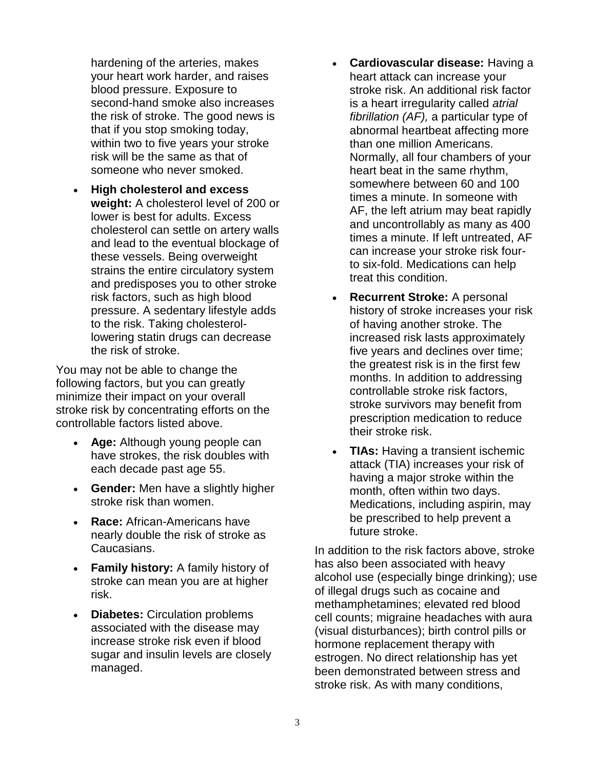hardening of the arteries, makes your heart work harder, and raises blood pressure. Exposure to second-hand smoke also increases the risk of stroke. The good news is that if you stop smoking today, within two to five years your stroke risk will be the same as that of someone who never smoked.

• **High cholesterol and excess weight:** A cholesterol level of 200 or lower is best for adults. Excess cholesterol can settle on artery walls and lead to the eventual blockage of these vessels. Being overweight strains the entire circulatory system and predisposes you to other stroke risk factors, such as high blood pressure. A sedentary lifestyle adds to the risk. Taking cholesterollowering statin drugs can decrease the risk of stroke.

You may not be able to change the following factors, but you can greatly minimize their impact on your overall stroke risk by concentrating efforts on the controllable factors listed above.

- **Age:** Although young people can have strokes, the risk doubles with each decade past age 55.
- **Gender:** Men have a slightly higher stroke risk than women.
- **Race:** African-Americans have nearly double the risk of stroke as Caucasians.
- **Family history:** A family history of stroke can mean you are at higher risk.
- **Diabetes:** Circulation problems associated with the disease may increase stroke risk even if blood sugar and insulin levels are closely managed.
- **Cardiovascular disease:** Having a heart attack can increase your stroke risk. An additional risk factor is a heart irregularity called *atrial fibrillation (AF),* a particular type of abnormal heartbeat affecting more than one million Americans. Normally, all four chambers of your heart beat in the same rhythm, somewhere between 60 and 100 times a minute. In someone with AF, the left atrium may beat rapidly and uncontrollably as many as 400 times a minute. If left untreated, AF can increase your stroke risk fourto six-fold. Medications can help treat this condition.
- **Recurrent Stroke:** A personal history of stroke increases your risk of having another stroke. The increased risk lasts approximately five years and declines over time; the greatest risk is in the first few months. In addition to addressing controllable stroke risk factors, stroke survivors may benefit from prescription medication to reduce their stroke risk.
- **TIAs:** Having a transient ischemic attack (TIA) increases your risk of having a major stroke within the month, often within two days. Medications, including aspirin, may be prescribed to help prevent a future stroke.

In addition to the risk factors above, stroke has also been associated with heavy alcohol use (especially binge drinking); use of illegal drugs such as cocaine and methamphetamines; elevated red blood cell counts; migraine headaches with aura (visual disturbances); birth control pills or hormone replacement therapy with estrogen. No direct relationship has yet been demonstrated between stress and stroke risk. As with many conditions,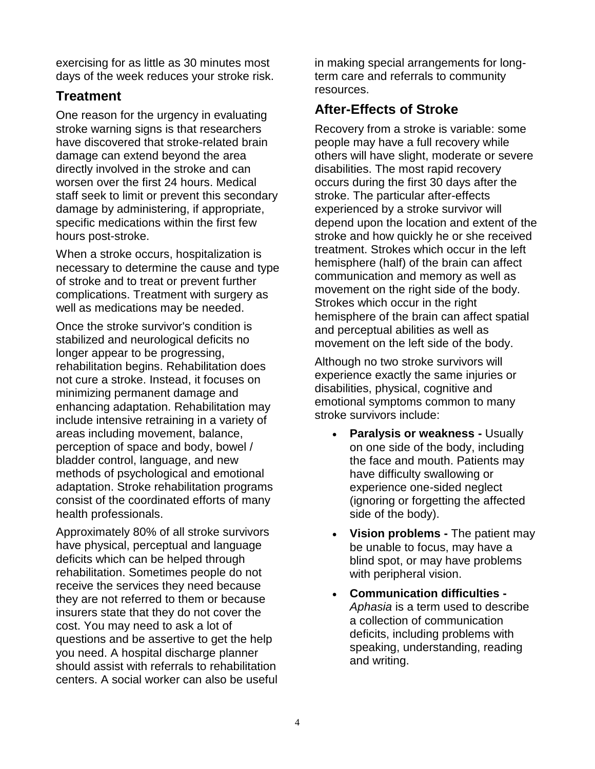exercising for as little as 30 minutes most days of the week reduces your stroke risk.

## **Treatment**

One reason for the urgency in evaluating stroke warning signs is that researchers have discovered that stroke-related brain damage can extend beyond the area directly involved in the stroke and can worsen over the first 24 hours. Medical staff seek to limit or prevent this secondary damage by administering, if appropriate, specific medications within the first few hours post-stroke.

When a stroke occurs, hospitalization is necessary to determine the cause and type of stroke and to treat or prevent further complications. Treatment with surgery as well as medications may be needed.

Once the stroke survivor's condition is stabilized and neurological deficits no longer appear to be progressing, rehabilitation begins. Rehabilitation does not cure a stroke. Instead, it focuses on minimizing permanent damage and enhancing adaptation. Rehabilitation may include intensive retraining in a variety of areas including movement, balance, perception of space and body, bowel / bladder control, language, and new methods of psychological and emotional adaptation. Stroke rehabilitation programs consist of the coordinated efforts of many health professionals.

Approximately 80% of all stroke survivors have physical, perceptual and language deficits which can be helped through rehabilitation. Sometimes people do not receive the services they need because they are not referred to them or because insurers state that they do not cover the cost. You may need to ask a lot of questions and be assertive to get the help you need. A hospital discharge planner should assist with referrals to rehabilitation centers. A social worker can also be useful in making special arrangements for longterm care and referrals to community resources.

## **After-Effects of Stroke**

Recovery from a stroke is variable: some people may have a full recovery while others will have slight, moderate or severe disabilities. The most rapid recovery occurs during the first 30 days after the stroke. The particular after-effects experienced by a stroke survivor will depend upon the location and extent of the stroke and how quickly he or she received treatment. Strokes which occur in the left hemisphere (half) of the brain can affect communication and memory as well as movement on the right side of the body. Strokes which occur in the right hemisphere of the brain can affect spatial and perceptual abilities as well as movement on the left side of the body.

Although no two stroke survivors will experience exactly the same injuries or disabilities, physical, cognitive and emotional symptoms common to many stroke survivors include:

- **Paralysis or weakness -** Usually on one side of the body, including the face and mouth. Patients may have difficulty swallowing or experience one-sided neglect (ignoring or forgetting the affected side of the body).
- **Vision problems -** The patient may be unable to focus, may have a blind spot, or may have problems with peripheral vision.
- **Communication difficulties -** *Aphasia* is a term used to describe a collection of communication deficits, including problems with speaking, understanding, reading and writing.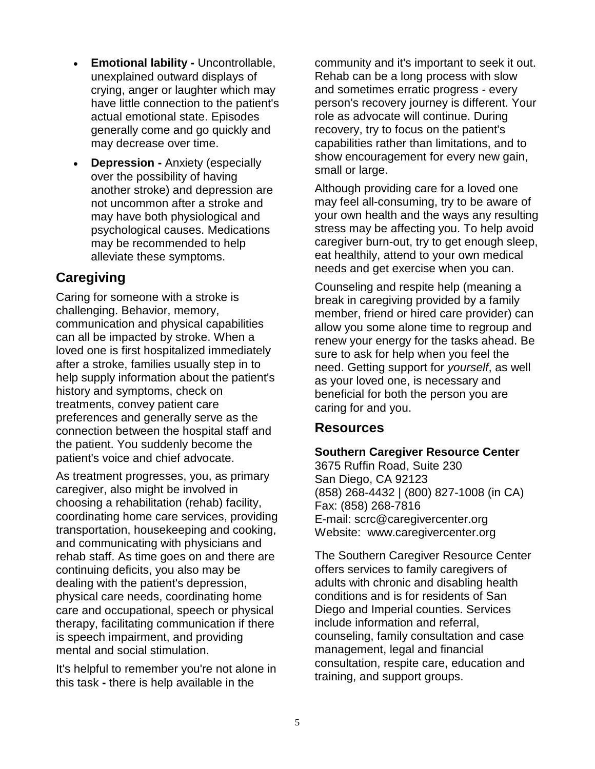- **Emotional lability -** Uncontrollable, unexplained outward displays of crying, anger or laughter which may have little connection to the patient's actual emotional state. Episodes generally come and go quickly and may decrease over time.
- **Depression -** Anxiety (especially over the possibility of having another stroke) and depression are not uncommon after a stroke and may have both physiological and psychological causes. Medications may be recommended to help alleviate these symptoms.

## **Caregiving**

Caring for someone with a stroke is challenging. Behavior, memory, communication and physical capabilities can all be impacted by stroke. When a loved one is first hospitalized immediately after a stroke, families usually step in to help supply information about the patient's history and symptoms, check on treatments, convey patient care preferences and generally serve as the connection between the hospital staff and the patient. You suddenly become the patient's voice and chief advocate.

As treatment progresses, you, as primary caregiver, also might be involved in choosing a rehabilitation (rehab) facility, coordinating home care services, providing transportation, housekeeping and cooking, and communicating with physicians and rehab staff. As time goes on and there are continuing deficits, you also may be dealing with the patient's depression, physical care needs, coordinating home care and occupational, speech or physical therapy, facilitating communication if there is speech impairment, and providing mental and social stimulation.

It's helpful to remember you're not alone in this task **-** there is help available in the

community and it's important to seek it out. Rehab can be a long process with slow and sometimes erratic progress - every person's recovery journey is different. Your role as advocate will continue. During recovery, try to focus on the patient's capabilities rather than limitations, and to show encouragement for every new gain, small or large.

Although providing care for a loved one may feel all-consuming, try to be aware of your own health and the ways any resulting stress may be affecting you. To help avoid caregiver burn-out, try to get enough sleep, eat healthily, attend to your own medical needs and get exercise when you can.

Counseling and respite help (meaning a break in caregiving provided by a family member, friend or hired care provider) can allow you some alone time to regroup and renew your energy for the tasks ahead. Be sure to ask for help when you feel the need. Getting support for *yourself*, as well as your loved one, is necessary and beneficial for both the person you are caring for and you.

### **Resources**

### **Southern Caregiver Resource Center**

3675 Ruffin Road, Suite 230 San Diego, CA 92123 (858) 268-4432 | (800) 827-1008 (in CA) Fax: (858) 268-7816 E-mail: [scrc@caregivercenter.org](mailto:scrc@caregivercenter.org) Website: [www.caregivercenter.org](../Users/Amanda/Fact%20Sheets/Finalized/www.caregivercenter.org)

The Southern Caregiver Resource Center offers services to family caregivers of adults with chronic and disabling health conditions and is for residents of San Diego and Imperial counties. Services include information and referral, counseling, family consultation and case management, legal and financial consultation, respite care, education and training, and support groups.